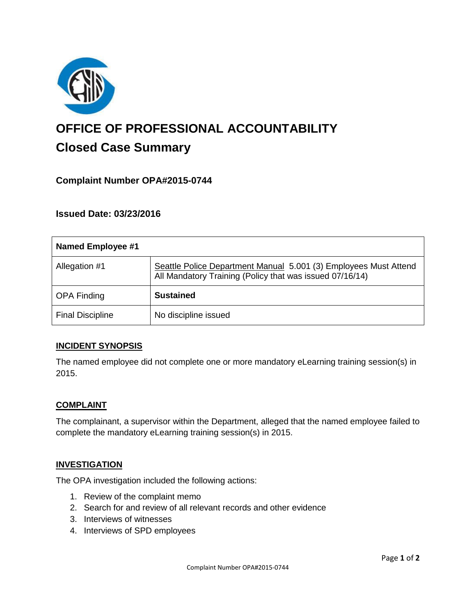

# **OFFICE OF PROFESSIONAL ACCOUNTABILITY Closed Case Summary**

# **Complaint Number OPA#2015-0744**

**Issued Date: 03/23/2016**

| Named Employee #1       |                                                                                                                              |
|-------------------------|------------------------------------------------------------------------------------------------------------------------------|
| Allegation #1           | Seattle Police Department Manual 5.001 (3) Employees Must Attend<br>All Mandatory Training (Policy that was issued 07/16/14) |
| <b>OPA Finding</b>      | <b>Sustained</b>                                                                                                             |
| <b>Final Discipline</b> | No discipline issued                                                                                                         |

#### **INCIDENT SYNOPSIS**

The named employee did not complete one or more mandatory eLearning training session(s) in 2015.

#### **COMPLAINT**

The complainant, a supervisor within the Department, alleged that the named employee failed to complete the mandatory eLearning training session(s) in 2015.

#### **INVESTIGATION**

The OPA investigation included the following actions:

- 1. Review of the complaint memo
- 2. Search for and review of all relevant records and other evidence
- 3. Interviews of witnesses
- 4. Interviews of SPD employees